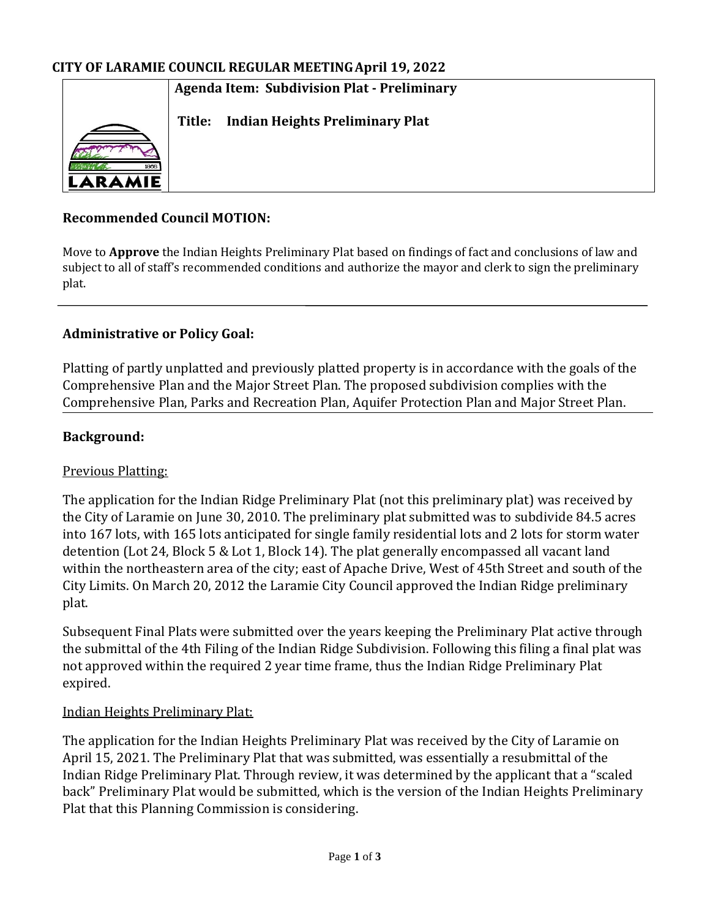## **Agenda Item: Subdivision Plat - Preliminary**



**Title: Indian Heights Preliminary Plat** 

## **Recommended Council MOTION:**

Move to **Approve** the Indian Heights Preliminary Plat based on findings of fact and conclusions of law and subject to all of staff's recommended conditions and authorize the mayor and clerk to sign the preliminary plat.

# **Administrative or Policy Goal:**

Platting of partly unplatted and previously platted property is in accordance with the goals of the Comprehensive Plan and the Major Street Plan. The proposed subdivision complies with the Comprehensive Plan, Parks and Recreation Plan, Aquifer Protection Plan and Major Street Plan.

#### **Background:**

### Previous Platting:

The application for the Indian Ridge Preliminary Plat (not this preliminary plat) was received by the City of Laramie on June 30, 2010. The preliminary plat submitted was to subdivide 84.5 acres into 167 lots, with 165 lots anticipated for single family residential lots and 2 lots for storm water detention (Lot 24, Block 5 & Lot 1, Block 14). The plat generally encompassed all vacant land within the northeastern area of the city; east of Apache Drive, West of 45th Street and south of the City Limits. On March 20, 2012 the Laramie City Council approved the Indian Ridge preliminary plat.

Subsequent Final Plats were submitted over the years keeping the Preliminary Plat active through the submittal of the 4th Filing of the Indian Ridge Subdivision. Following this filing a final plat was not approved within the required 2 year time frame, thus the Indian Ridge Preliminary Plat expired.

#### Indian Heights Preliminary Plat:

The application for the Indian Heights Preliminary Plat was received by the City of Laramie on April 15, 2021. The Preliminary Plat that was submitted, was essentially a resubmittal of the Indian Ridge Preliminary Plat. Through review, it was determined by the applicant that a "scaled back" Preliminary Plat would be submitted, which is the version of the Indian Heights Preliminary Plat that this Planning Commission is considering.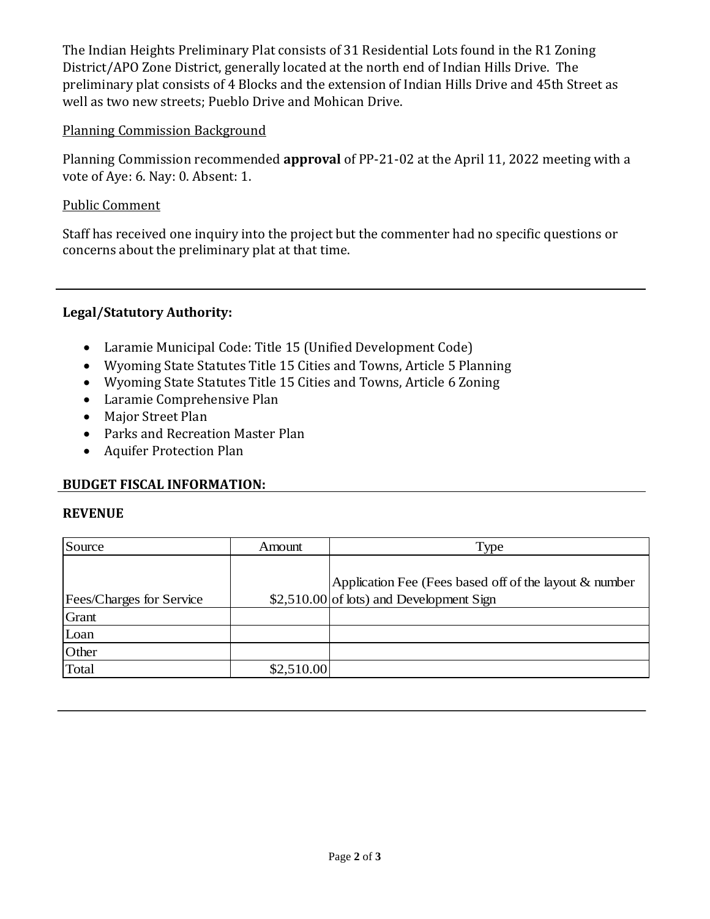The Indian Heights Preliminary Plat consists of 31 Residential Lots found in the R1 Zoning District/APO Zone District, generally located at the north end of Indian Hills Drive. The preliminary plat consists of 4 Blocks and the extension of Indian Hills Drive and 45th Street as well as two new streets; Pueblo Drive and Mohican Drive.

### Planning Commission Background

Planning Commission recommended **approval** of PP-21-02 at the April 11, 2022 meeting with a vote of Aye: 6. Nay: 0. Absent: 1.

## Public Comment

Staff has received one inquiry into the project but the commenter had no specific questions or concerns about the preliminary plat at that time.

# **Legal/Statutory Authority:**

- Laramie Municipal Code: Title 15 (Unified Development Code)
- Wyoming State Statutes Title 15 Cities and Towns, Article 5 Planning
- Wyoming State Statutes Title 15 Cities and Towns, Article 6 Zoning
- Laramie Comprehensive Plan
- Major Street Plan
- Parks and Recreation Master Plan
- Aquifer Protection Plan

### **BUDGET FISCAL INFORMATION:**

#### **REVENUE**

| Source                   | Amount     | Type                                                   |
|--------------------------|------------|--------------------------------------------------------|
|                          |            |                                                        |
|                          |            | Application Fee (Fees based off of the layout & number |
| Fees/Charges for Service |            | \$2,510.00 of lots) and Development Sign               |
| Grant                    |            |                                                        |
| Loan                     |            |                                                        |
| Other                    |            |                                                        |
| Total                    | \$2,510.00 |                                                        |